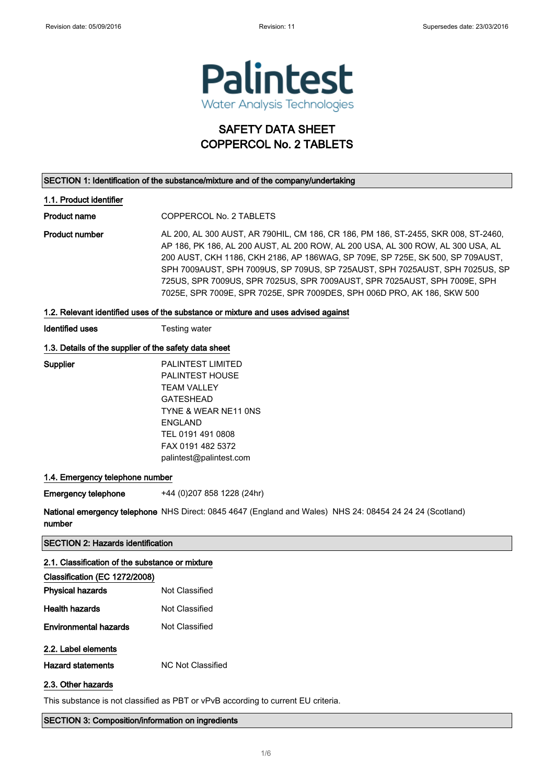

# SAFETY DATA SHEET COPPERCOL No. 2 TABLETS

#### SECTION 1: Identification of the substance/mixture and of the company/undertaking

#### 1.1. Product identifier

Product name COPPERCOL No. 2 TABLETS

Product number AL 200, AL 300 AUST, AR 790HIL, CM 186, CR 186, PM 186, ST-2455, SKR 008, ST-2460, AP 186, PK 186, AL 200 AUST, AL 200 ROW, AL 200 USA, AL 300 ROW, AL 300 USA, AL 200 AUST, CKH 1186, CKH 2186, AP 186WAG, SP 709E, SP 725E, SK 500, SP 709AUST, SPH 7009AUST, SPH 7009US, SP 709US, SP 725AUST, SPH 7025AUST, SPH 7025US, SP 725US, SPR 7009US, SPR 7025US, SPR 7009AUST, SPR 7025AUST, SPH 7009E, SPH 7025E, SPR 7009E, SPR 7025E, SPR 7009DES, SPH 006D PRO, AK 186, SKW 500

#### 1.2. Relevant identified uses of the substance or mixture and uses advised against

Identified uses Testing water

#### 1.3. Details of the supplier of the safety data sheet

| Supplier | <b>PALINTEST LIMITED</b> |
|----------|--------------------------|
|          | <b>PALINTEST HOUSE</b>   |
|          | TFAM VALLEY              |
|          | <b>GATESHEAD</b>         |
|          | TYNE & WEAR NE11 ONS     |
|          | ENGLAND                  |
|          | TEL 0191 491 0808        |
|          | FAX 0191 482 5372        |
|          | palintest@palintest.com  |

#### 1.4. Emergency telephone number

Emergency telephone +44 (0)207 858 1228 (24hr)

National emergency telephone NHS Direct: 0845 4647 (England and Wales) NHS 24: 08454 24 24 24 (Scotland) number

#### SECTION 2: Hazards identification

## 2.1. Classification of the substance or mixture

| Classification (EC 1272/2008) |                   |  |
|-------------------------------|-------------------|--|
| <b>Physical hazards</b>       | Not Classified    |  |
| <b>Health hazards</b>         | Not Classified    |  |
| <b>Environmental hazards</b>  | Not Classified    |  |
| 2.2. Label elements           |                   |  |
| <b>Hazard statements</b>      | NC Not Classified |  |
| 2.3. Other hazards            |                   |  |

This substance is not classified as PBT or vPvB according to current EU criteria.

#### SECTION 3: Composition/information on ingredients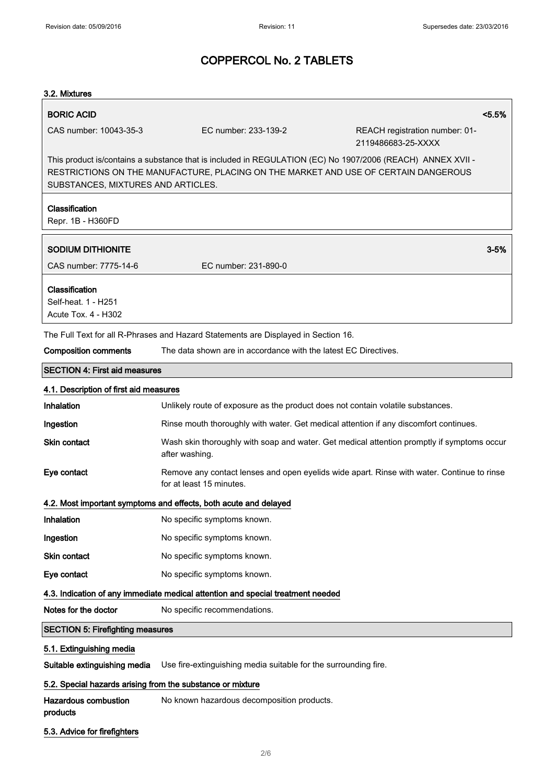## $3.2. Mid$

| 3.2. Mixtures                                                                                                                                                                                                                           |                              |                                                                 |                                                                                            |  |
|-----------------------------------------------------------------------------------------------------------------------------------------------------------------------------------------------------------------------------------------|------------------------------|-----------------------------------------------------------------|--------------------------------------------------------------------------------------------|--|
| <b>BORIC ACID</b>                                                                                                                                                                                                                       |                              |                                                                 | $< 5.5\%$                                                                                  |  |
| CAS number: 10043-35-3                                                                                                                                                                                                                  |                              | EC number: 233-139-2                                            | REACH registration number: 01-<br>2119486683-25-XXXX                                       |  |
| This product is/contains a substance that is included in REGULATION (EC) No 1907/2006 (REACH) ANNEX XVII -<br>RESTRICTIONS ON THE MANUFACTURE, PLACING ON THE MARKET AND USE OF CERTAIN DANGEROUS<br>SUBSTANCES, MIXTURES AND ARTICLES. |                              |                                                                 |                                                                                            |  |
| Classification<br>Repr. 1B - H360FD                                                                                                                                                                                                     |                              |                                                                 |                                                                                            |  |
| <b>SODIUM DITHIONITE</b>                                                                                                                                                                                                                |                              |                                                                 | $3 - 5%$                                                                                   |  |
| CAS number: 7775-14-6                                                                                                                                                                                                                   |                              | EC number: 231-890-0                                            |                                                                                            |  |
| Classification<br>Self-heat. 1 - H251<br>Acute Tox. 4 - H302                                                                                                                                                                            |                              |                                                                 |                                                                                            |  |
| The Full Text for all R-Phrases and Hazard Statements are Displayed in Section 16.                                                                                                                                                      |                              |                                                                 |                                                                                            |  |
| <b>Composition comments</b>                                                                                                                                                                                                             |                              | The data shown are in accordance with the latest EC Directives. |                                                                                            |  |
| <b>SECTION 4: First aid measures</b>                                                                                                                                                                                                    |                              |                                                                 |                                                                                            |  |
| 4.1. Description of first aid measures                                                                                                                                                                                                  |                              |                                                                 |                                                                                            |  |
| Inhalation                                                                                                                                                                                                                              |                              |                                                                 | Unlikely route of exposure as the product does not contain volatile substances.            |  |
| Ingestion                                                                                                                                                                                                                               |                              |                                                                 | Rinse mouth thoroughly with water. Get medical attention if any discomfort continues.      |  |
| Skin contact                                                                                                                                                                                                                            | after washing.               |                                                                 | Wash skin thoroughly with soap and water. Get medical attention promptly if symptoms occur |  |
| Eye contact                                                                                                                                                                                                                             | for at least 15 minutes.     |                                                                 | Remove any contact lenses and open eyelids wide apart. Rinse with water. Continue to rinse |  |
| 4.2. Most important symptoms and effects, both acute and delayed                                                                                                                                                                        |                              |                                                                 |                                                                                            |  |
| Inhalation                                                                                                                                                                                                                              | No specific symptoms known.  |                                                                 |                                                                                            |  |
| Ingestion                                                                                                                                                                                                                               | No specific symptoms known.  |                                                                 |                                                                                            |  |
| <b>Skin contact</b>                                                                                                                                                                                                                     | No specific symptoms known.  |                                                                 |                                                                                            |  |
| Eye contact                                                                                                                                                                                                                             | No specific symptoms known.  |                                                                 |                                                                                            |  |
| 4.3. Indication of any immediate medical attention and special treatment needed                                                                                                                                                         |                              |                                                                 |                                                                                            |  |
| Notes for the doctor                                                                                                                                                                                                                    | No specific recommendations. |                                                                 |                                                                                            |  |
| <b>SECTION 5: Firefighting measures</b>                                                                                                                                                                                                 |                              |                                                                 |                                                                                            |  |
| 5.1. Extinguishing media                                                                                                                                                                                                                |                              |                                                                 |                                                                                            |  |
| Suitable extinguishing media                                                                                                                                                                                                            |                              | Use fire-extinguishing media suitable for the surrounding fire. |                                                                                            |  |
| 5.2. Special hazards arising from the substance or mixture                                                                                                                                                                              |                              |                                                                 |                                                                                            |  |

Hazardous combustion products No known hazardous decomposition products.

5.3. Advice for firefighters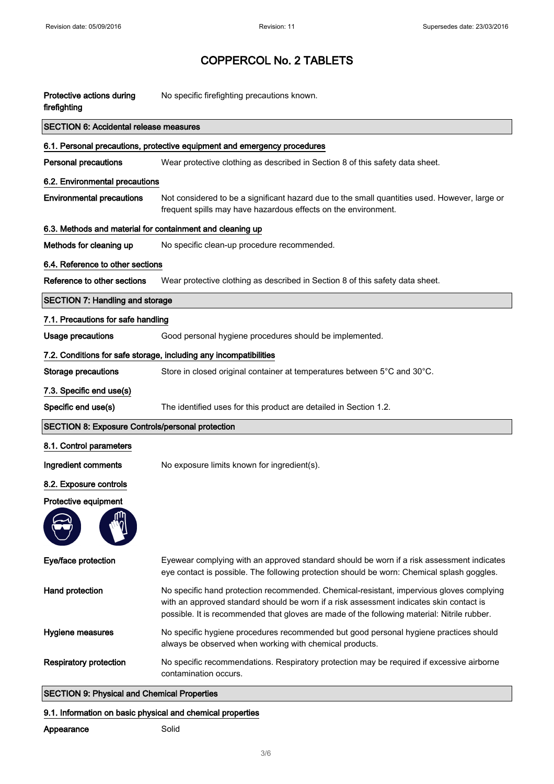| Protective actions during<br>firefighting                 | No specific firefighting precautions known.                                                                                                                                                                                                                                        |  |  |  |
|-----------------------------------------------------------|------------------------------------------------------------------------------------------------------------------------------------------------------------------------------------------------------------------------------------------------------------------------------------|--|--|--|
| <b>SECTION 6: Accidental release measures</b>             |                                                                                                                                                                                                                                                                                    |  |  |  |
|                                                           | 6.1. Personal precautions, protective equipment and emergency procedures                                                                                                                                                                                                           |  |  |  |
| <b>Personal precautions</b>                               | Wear protective clothing as described in Section 8 of this safety data sheet.                                                                                                                                                                                                      |  |  |  |
| 6.2. Environmental precautions                            |                                                                                                                                                                                                                                                                                    |  |  |  |
| <b>Environmental precautions</b>                          | Not considered to be a significant hazard due to the small quantities used. However, large or<br>frequent spills may have hazardous effects on the environment.                                                                                                                    |  |  |  |
| 6.3. Methods and material for containment and cleaning up |                                                                                                                                                                                                                                                                                    |  |  |  |
| Methods for cleaning up                                   | No specific clean-up procedure recommended.                                                                                                                                                                                                                                        |  |  |  |
| 6.4. Reference to other sections                          |                                                                                                                                                                                                                                                                                    |  |  |  |
| Reference to other sections                               | Wear protective clothing as described in Section 8 of this safety data sheet.                                                                                                                                                                                                      |  |  |  |
| <b>SECTION 7: Handling and storage</b>                    |                                                                                                                                                                                                                                                                                    |  |  |  |
| 7.1. Precautions for safe handling                        |                                                                                                                                                                                                                                                                                    |  |  |  |
| <b>Usage precautions</b>                                  | Good personal hygiene procedures should be implemented.                                                                                                                                                                                                                            |  |  |  |
|                                                           | 7.2. Conditions for safe storage, including any incompatibilities                                                                                                                                                                                                                  |  |  |  |
| <b>Storage precautions</b>                                | Store in closed original container at temperatures between 5°C and 30°C.                                                                                                                                                                                                           |  |  |  |
| 7.3. Specific end use(s)                                  |                                                                                                                                                                                                                                                                                    |  |  |  |
| Specific end use(s)                                       | The identified uses for this product are detailed in Section 1.2.                                                                                                                                                                                                                  |  |  |  |
| <b>SECTION 8: Exposure Controls/personal protection</b>   |                                                                                                                                                                                                                                                                                    |  |  |  |
| 8.1. Control parameters                                   |                                                                                                                                                                                                                                                                                    |  |  |  |
| Ingredient comments                                       | No exposure limits known for ingredient(s).                                                                                                                                                                                                                                        |  |  |  |
| 8.2. Exposure controls                                    |                                                                                                                                                                                                                                                                                    |  |  |  |
| Protective equipment                                      |                                                                                                                                                                                                                                                                                    |  |  |  |
|                                                           |                                                                                                                                                                                                                                                                                    |  |  |  |
| Eye/face protection                                       | Eyewear complying with an approved standard should be worn if a risk assessment indicates<br>eye contact is possible. The following protection should be worn: Chemical splash goggles.                                                                                            |  |  |  |
| <b>Hand protection</b>                                    | No specific hand protection recommended. Chemical-resistant, impervious gloves complying<br>with an approved standard should be worn if a risk assessment indicates skin contact is<br>possible. It is recommended that gloves are made of the following material: Nitrile rubber. |  |  |  |
| Hygiene measures                                          | No specific hygiene procedures recommended but good personal hygiene practices should<br>always be observed when working with chemical products.                                                                                                                                   |  |  |  |
| <b>Respiratory protection</b>                             | No specific recommendations. Respiratory protection may be required if excessive airborne<br>contamination occurs.                                                                                                                                                                 |  |  |  |

#### SECTION 9: Physical and Chemical Properties

### 9.1. Information on basic physical and chemical properties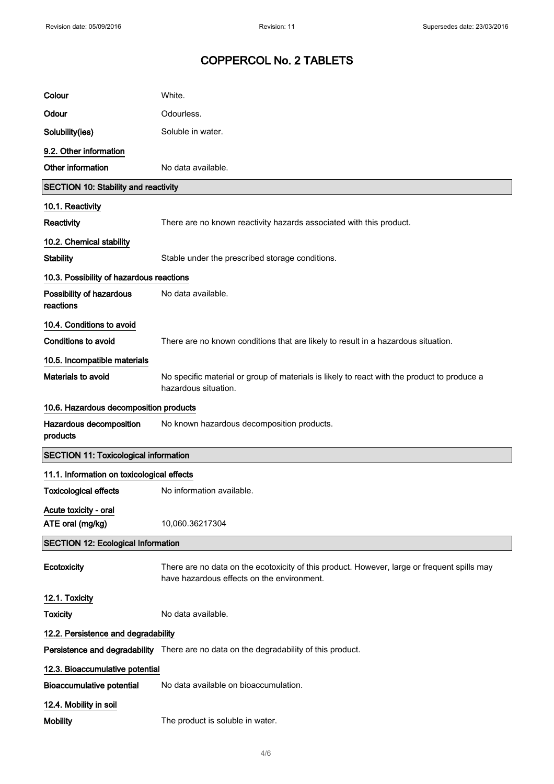| Colour                                       | White.                                                                                                                                    |  |
|----------------------------------------------|-------------------------------------------------------------------------------------------------------------------------------------------|--|
| Odour                                        | Odourless.                                                                                                                                |  |
| Solubility(ies)                              | Soluble in water.                                                                                                                         |  |
| 9.2. Other information                       |                                                                                                                                           |  |
| Other information                            | No data available.                                                                                                                        |  |
| <b>SECTION 10: Stability and reactivity</b>  |                                                                                                                                           |  |
| 10.1. Reactivity                             |                                                                                                                                           |  |
| Reactivity                                   | There are no known reactivity hazards associated with this product.                                                                       |  |
| 10.2. Chemical stability                     |                                                                                                                                           |  |
| <b>Stability</b>                             | Stable under the prescribed storage conditions.                                                                                           |  |
| 10.3. Possibility of hazardous reactions     |                                                                                                                                           |  |
| Possibility of hazardous<br>reactions        | No data available.                                                                                                                        |  |
| 10.4. Conditions to avoid                    |                                                                                                                                           |  |
| <b>Conditions to avoid</b>                   | There are no known conditions that are likely to result in a hazardous situation.                                                         |  |
| 10.5. Incompatible materials                 |                                                                                                                                           |  |
| Materials to avoid                           | No specific material or group of materials is likely to react with the product to produce a<br>hazardous situation.                       |  |
| 10.6. Hazardous decomposition products       |                                                                                                                                           |  |
|                                              |                                                                                                                                           |  |
| Hazardous decomposition<br>products          | No known hazardous decomposition products.                                                                                                |  |
| <b>SECTION 11: Toxicological information</b> |                                                                                                                                           |  |
| 11.1. Information on toxicological effects   |                                                                                                                                           |  |
| <b>Toxicological effects</b>                 | No information available.                                                                                                                 |  |
| Acute toxicity - oral<br>ATE oral (mg/kg)    | 10,060.36217304                                                                                                                           |  |
| <b>SECTION 12: Ecological Information</b>    |                                                                                                                                           |  |
| Ecotoxicity                                  | There are no data on the ecotoxicity of this product. However, large or frequent spills may<br>have hazardous effects on the environment. |  |
| 12.1. Toxicity                               |                                                                                                                                           |  |
| <b>Toxicity</b>                              | No data available.                                                                                                                        |  |
| 12.2. Persistence and degradability          |                                                                                                                                           |  |
|                                              | Persistence and degradability There are no data on the degradability of this product.                                                     |  |
| 12.3. Bioaccumulative potential              |                                                                                                                                           |  |
| <b>Bioaccumulative potential</b>             | No data available on bioaccumulation.                                                                                                     |  |
| 12.4. Mobility in soil                       |                                                                                                                                           |  |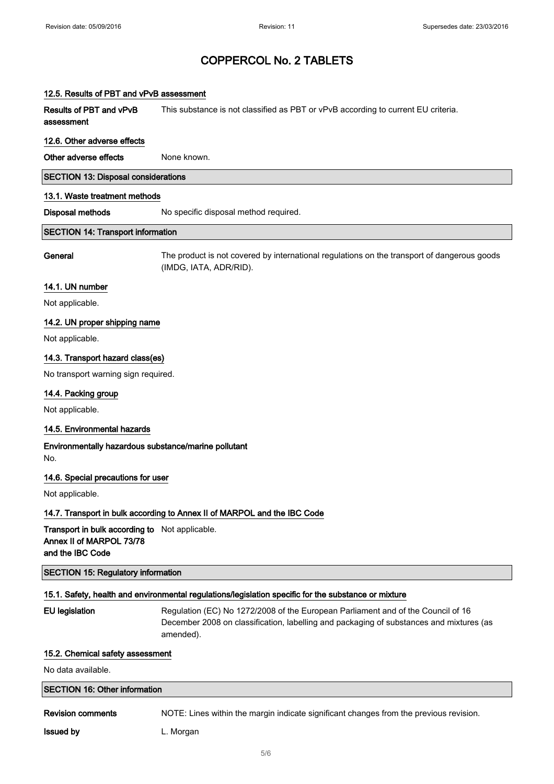#### 12.5. Results of PBT and vPvB assessment

Results of PBT and vPvB assessment This substance is not classified as PBT or vPvB according to current EU criteria.

#### 12.6. Other adverse effects

Other adverse effects None known.

#### SECTION 13: Disposal considerations

#### 13.1. Waste treatment methods

Disposal methods No specific disposal method required.

#### SECTION 14: Transport information

General The product is not covered by international regulations on the transport of dangerous goods (IMDG, IATA, ADR/RID).

#### 14.1. UN number

Not applicable.

#### 14.2. UN proper shipping name

Not applicable.

#### 14.3. Transport hazard class(es)

No transport warning sign required.

#### 14.4. Packing group

Not applicable.

#### 14.5. Environmental hazards

Environmentally hazardous substance/marine pollutant No.

#### 14.6. Special precautions for user

Not applicable.

#### 14.7. Transport in bulk according to Annex II of MARPOL and the IBC Code

Transport in bulk according to Not applicable. Annex II of MARPOL 73/78 and the IBC Code

SECTION 15: Regulatory information

#### 15.1. Safety, health and environmental regulations/legislation specific for the substance or mixture

EU legislation Regulation (EC) No 1272/2008 of the European Parliament and of the Council of 16 December 2008 on classification, labelling and packaging of substances and mixtures (as amended).

#### 15.2. Chemical safety assessment

No data available.

### SECTION 16: Other information

Revision comments NOTE: Lines within the margin indicate significant changes from the previous revision.